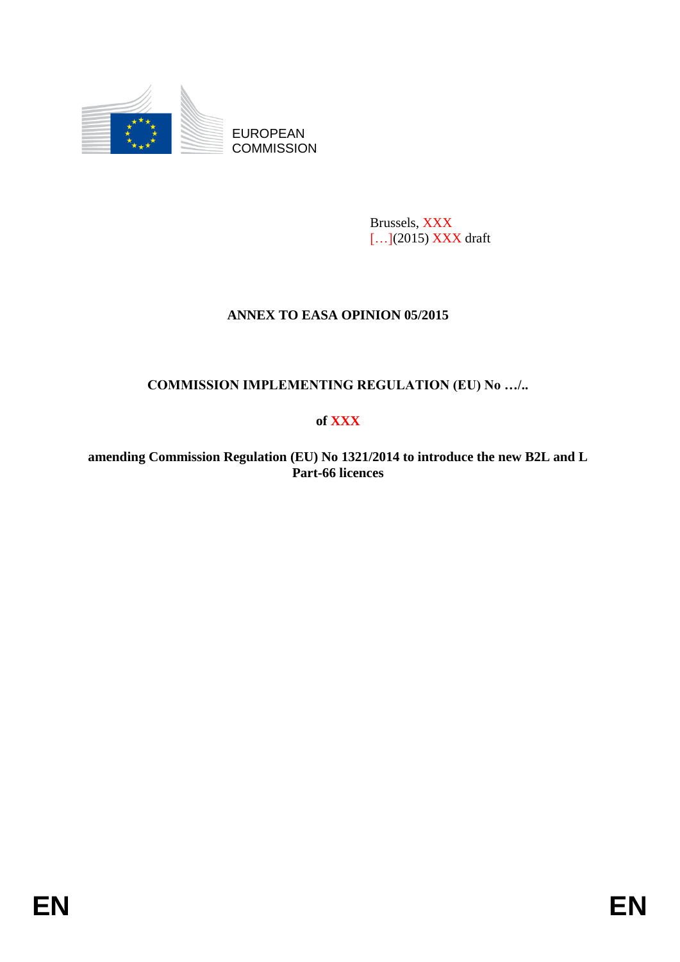

EUROPEAN **COMMISSION** 

> Brussels, XXX [...](2015) XXX draft

# **ANNEX TO EASA OPINION 05/2015**

**COMMISSION IMPLEMENTING REGULATION (EU) No …/..**

# **of XXX**

**amending Commission Regulation (EU) No 1321/2014 to introduce the new B2L and L Part-66 licences**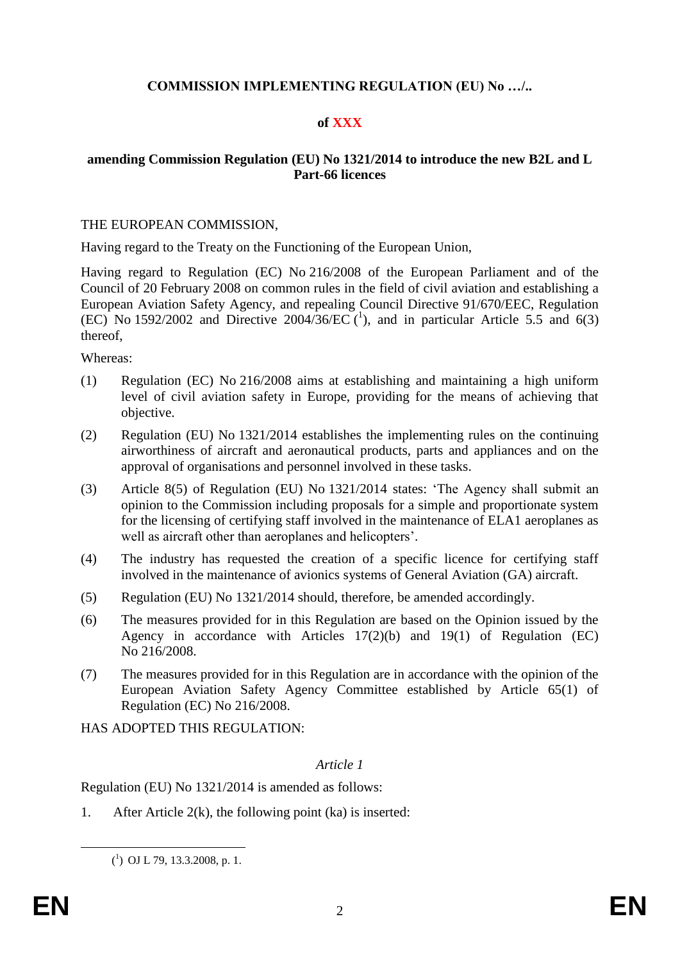### **COMMISSION IMPLEMENTING REGULATION (EU) No …/..**

### **of XXX**

### **amending Commission Regulation (EU) No 1321/2014 to introduce the new B2L and L Part-66 licences**

#### THE EUROPEAN COMMISSION,

Having regard to the Treaty on the Functioning of the European Union,

Having regard to Regulation (EC) No 216/2008 of the European Parliament and of the Council of 20 February 2008 on common rules in the field of civil aviation and establishing a European Aviation Safety Agency, and repealing Council Directive 91/670/EEC, Regulation (EC) No 1592/2002 and Directive 2004/36/EC  $(1)$ , and in particular Article 5.5 and 6(3) thereof,

Whereas:

- (1) Regulation (EC) No 216/2008 aims at establishing and maintaining a high uniform level of civil aviation safety in Europe, providing for the means of achieving that objective.
- (2) Regulation (EU) No 1321/2014 establishes the implementing rules on the continuing airworthiness of aircraft and aeronautical products, parts and appliances and on the approval of organisations and personnel involved in these tasks.
- (3) Article 8(5) of Regulation (EU) No 1321/2014 states: 'The Agency shall submit an opinion to the Commission including proposals for a simple and proportionate system for the licensing of certifying staff involved in the maintenance of ELA1 aeroplanes as well as aircraft other than aeroplanes and helicopters'.
- (4) The industry has requested the creation of a specific licence for certifying staff involved in the maintenance of avionics systems of General Aviation (GA) aircraft.
- (5) Regulation (EU) No 1321/2014 should, therefore, be amended accordingly.
- (6) The measures provided for in this Regulation are based on the Opinion issued by the Agency in accordance with Articles 17(2)(b) and 19(1) of Regulation (EC) No 216/2008.
- (7) The measures provided for in this Regulation are in accordance with the opinion of the European Aviation Safety Agency Committee established by Article 65(1) of Regulation (EC) No 216/2008.

HAS ADOPTED THIS REGULATION:

#### *Article 1*

Regulation (EU) No 1321/2014 is amended as follows:

1. After Article 2(k), the following point (ka) is inserted:

<u>.</u>

 $(^{1})$  OJ L 79, 13.3.2008, p. 1.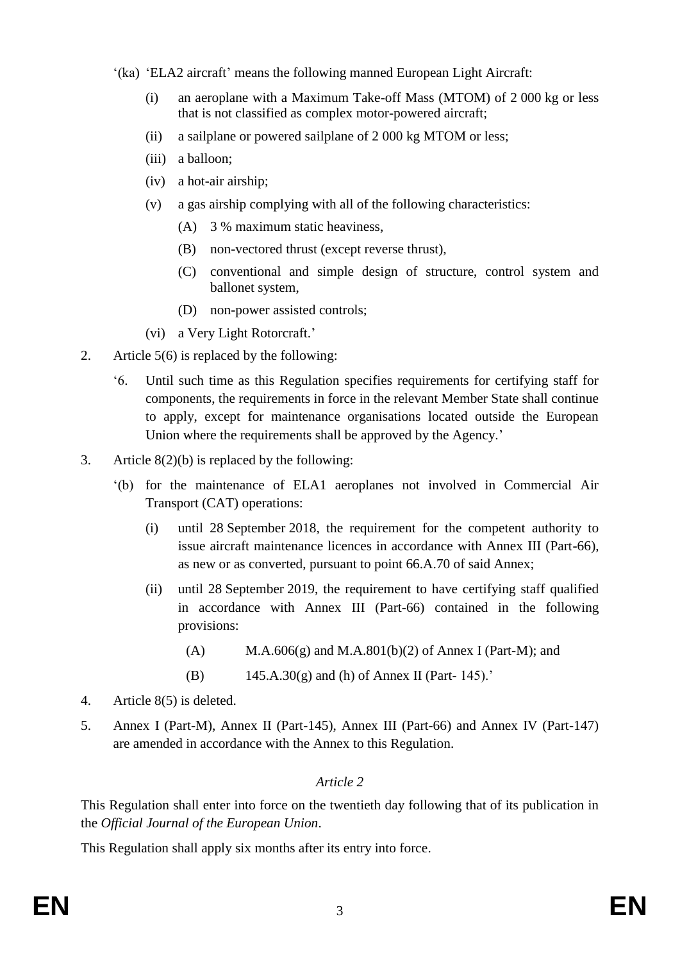- '(ka) 'ELA2 aircraft' means the following manned European Light Aircraft:
	- (i) an aeroplane with a Maximum Take-off Mass (MTOM) of 2 000 kg or less that is not classified as complex motor-powered aircraft;
	- (ii) a sailplane or powered sailplane of 2 000 kg MTOM or less;
	- (iii) a balloon;
	- (iv) a hot-air airship;
	- (v) a gas airship complying with all of the following characteristics:
		- (A) 3 % maximum static heaviness,
		- (B) non-vectored thrust (except reverse thrust),
		- (C) conventional and simple design of structure, control system and ballonet system,
		- (D) non-power assisted controls;
	- (vi) a Very Light Rotorcraft.'
- 2. Article 5(6) is replaced by the following:
	- '6. Until such time as this Regulation specifies requirements for certifying staff for components, the requirements in force in the relevant Member State shall continue to apply, except for maintenance organisations located outside the European Union where the requirements shall be approved by the Agency.'
- 3. Article  $8(2)(b)$  is replaced by the following:
	- '(b) for the maintenance of ELA1 aeroplanes not involved in Commercial Air Transport (CAT) operations:
		- (i) until 28 September 2018, the requirement for the competent authority to issue aircraft maintenance licences in accordance with Annex III (Part-66), as new or as converted, pursuant to point 66.A.70 of said Annex;
		- (ii) until 28 September 2019, the requirement to have certifying staff qualified in accordance with Annex III (Part-66) contained in the following provisions:
			- (A) M.A.606(g) and M.A.801(b)(2) of Annex I (Part-M); and
			- (B)  $145.A.30(g)$  and (h) of Annex II (Part- 145).'
- 4. Article 8(5) is deleted.
- 5. Annex I (Part-M), Annex II (Part-145), Annex III (Part-66) and Annex IV (Part-147) are amended in accordance with the Annex to this Regulation.

# *Article 2*

This Regulation shall enter into force on the twentieth day following that of its publication in the *Official Journal of the European Union*.

This Regulation shall apply six months after its entry into force.